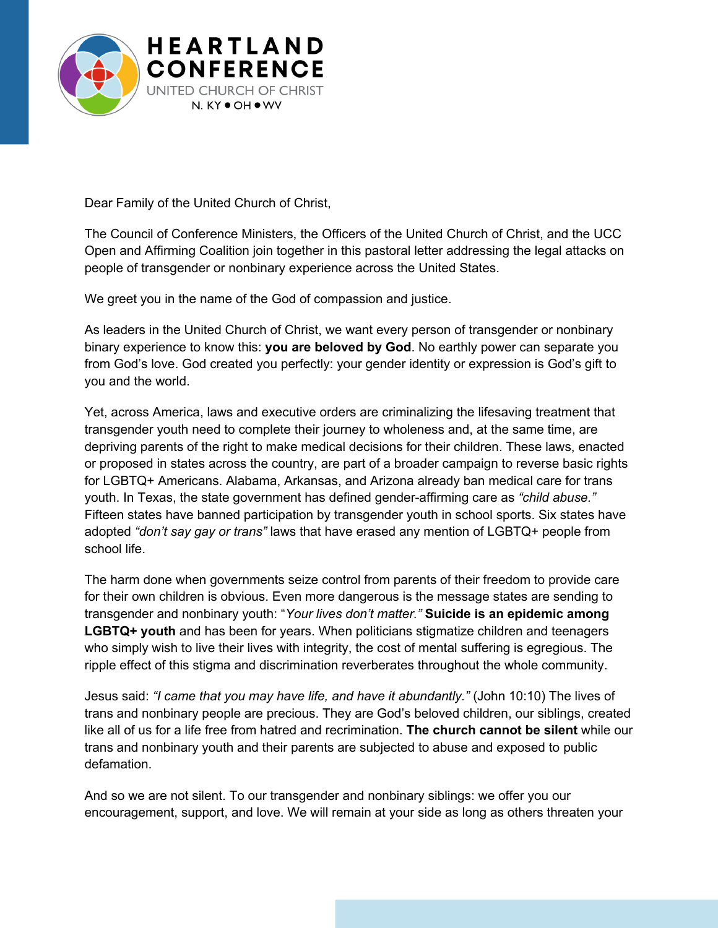

Dear Family of the United Church of Christ,

The Council of Conference Ministers, the Officers of the United Church of Christ, and the UCC Open and Affirming Coalition join together in this pastoral letter addressing the legal attacks on people of transgender or nonbinary experience across the United States.

We greet you in the name of the God of compassion and justice.

As leaders in the United Church of Christ, we want every person of transgender or nonbinary binary experience to know this: **you are beloved by God**. No earthly power can separate you from God's love. God created you perfectly: your gender identity or expression is God's gift to you and the world.

Yet, across America, laws and executive orders are criminalizing the lifesaving treatment that transgender youth need to complete their journey to wholeness and, at the same time, are depriving parents of the right to make medical decisions for their children. These laws, enacted or proposed in states across the country, are part of a broader campaign to reverse basic rights for LGBTQ+ Americans. Alabama, Arkansas, and Arizona already ban medical care for trans youth. In Texas, the state government has defined gender-affirming care as *"child abuse."* Fifteen states have banned participation by transgender youth in school sports. Six states have adopted *"don't say gay or trans"* laws that have erased any mention of LGBTQ+ people from school life.

The harm done when governments seize control from parents of their freedom to provide care for their own children is obvious. Even more dangerous is the message states are sending to transgender and nonbinary youth: "*Your lives don't matter."* **Suicide is an epidemic among LGBTQ+ youth** and has been for years. When politicians stigmatize children and teenagers who simply wish to live their lives with integrity, the cost of mental suffering is egregious. The ripple effect of this stigma and discrimination reverberates throughout the whole community.

Jesus said: *"I came that you may have life, and have it abundantly."* (John 10:10) The lives of trans and nonbinary people are precious. They are God's beloved children, our siblings, created like all of us for a life free from hatred and recrimination. **The church cannot be silent** while our trans and nonbinary youth and their parents are subjected to abuse and exposed to public defamation.

And so we are not silent. To our transgender and nonbinary siblings: we offer you our encouragement, support, and love. We will remain at your side as long as others threaten your